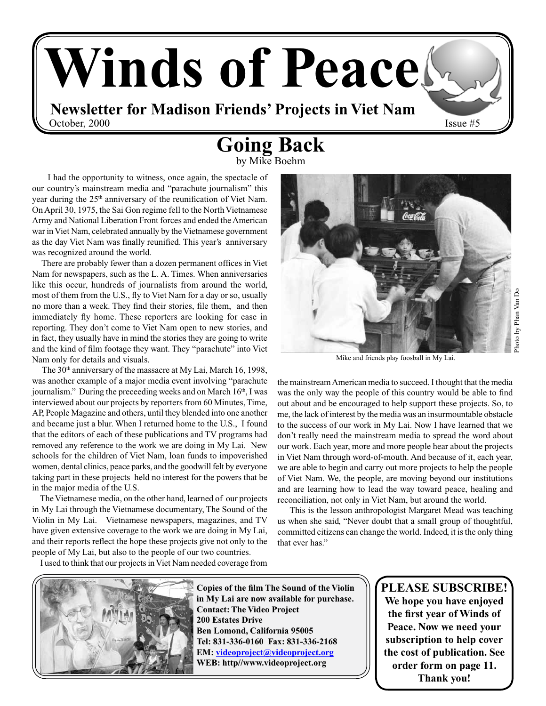

## **Going Back**

by Mike Boehm

 I had the opportunity to witness, once again, the spectacle of our country's mainstream media and "parachute journalism" this year during the 25<sup>th</sup> anniversary of the reunification of Viet Nam. On April 30, 1975, the Sai Gon regime fell to the North Vietnamese Army and National Liberation Front forces and ended the American war in Viet Nam, celebrated annually by the Vietnamese government as the day Viet Nam was finally reunified. This year's anniversary was recognized around the world.

 There are probably fewer than a dozen permanent offices in Viet Nam for newspapers, such as the L. A. Times. When anniversaries like this occur, hundreds of journalists from around the world, most of them from the U.S., fly to Viet Nam for a day or so, usually no more than a week. They find their stories, file them, and then immediately fly home. These reporters are looking for ease in reporting. They don't come to Viet Nam open to new stories, and in fact, they usually have in mind the stories they are going to write and the kind of film footage they want. They "parachute" into Viet Nam only for details and visuals.

The 30<sup>th</sup> anniversary of the massacre at My Lai, March 16, 1998, was another example of a major media event involving "parachute journalism." During the preceeding weeks and on March 16<sup>th</sup>, I was interviewed about our projects by reporters from 60 Minutes, Time, AP, People Magazine and others, until they blended into one another and became just a blur. When I returned home to the U.S., I found that the editors of each of these publications and TV programs had removed any reference to the work we are doing in My Lai. New schools for the children of Viet Nam, loan funds to impoverished women, dental clinics, peace parks, and the goodwill felt by everyone taking part in these projects held no interest for the powers that be in the major media of the U.S.

 The Vietnamese media, on the other hand, learned of our projects in My Lai through the Vietnamese documentary, The Sound of the Violin in My Lai. Vietnamese newspapers, magazines, and TV have given extensive coverage to the work we are doing in My Lai, and their reports reflect the hope these projects give not only to the people of My Lai, but also to the people of our two countries.



Mike and friends play foosball in My Lai.

the mainstream American media to succeed. I thought that the media was the only way the people of this country would be able to find out about and be encouraged to help support these projects. So, to me, the lack of interest by the media was an insurmountable obstacle to the success of our work in My Lai. Now I have learned that we don't really need the mainstream media to spread the word about our work. Each year, more and more people hear about the projects in Viet Nam through word-of-mouth. And because of it, each year, we are able to begin and carry out more projects to help the people of Viet Nam. We, the people, are moving beyond our institutions and are learning how to lead the way toward peace, healing and reconciliation, not only in Viet Nam, but around the world.

 This is the lesson anthropologist Margaret Mead was teaching us when she said, "Never doubt that a small group of thoughtful, committed citizens can change the world. Indeed, it is the only thing that ever has."

I used to think that our projects in Viet Nam needed coverage from



**Copies of the film The Sound of the Violin in My Lai are now available for purchase. Contact: The Video Project 200 Estates Drive Ben Lomond, California 95005 Tel: 831‑336‑0160 Fax: 831‑336‑2168 EM: videoproject@videoproject.org WEB: http//www.videoproject.org**

**PLEASE SUBSCRIBE! We hope you have enjoyed the first year of Winds of Peace. Now we need your subscription to help cover the cost of publication. See order form on page 11. Thank you!**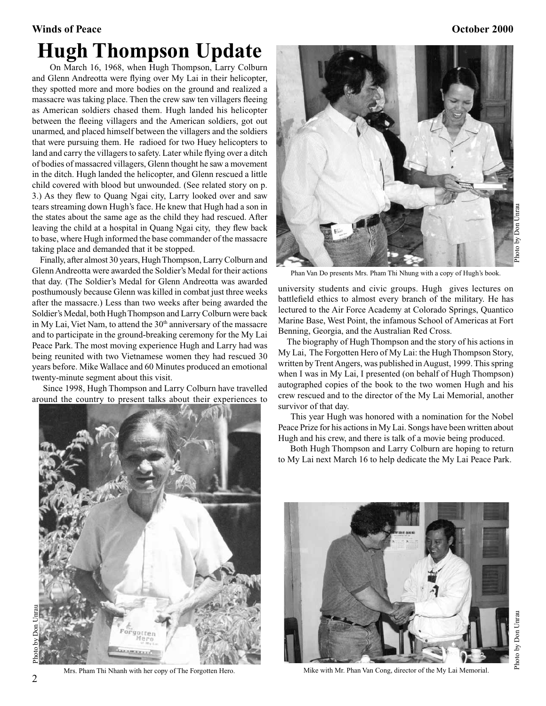### **Winds of Peace Contract Contract Contract Contract Contract Contract Contract Contract Contract Contract Contract Contract Contract Contract Contract Contract Contract Contract Contract Contract Contract Contract Contract Hugh Thompson Update**

 On March 16, 1968, when Hugh Thompson, Larry Colburn and Glenn Andreotta were flying over My Lai in their helicopter, they spotted more and more bodies on the ground and realized a massacre was taking place. Then the crew saw ten villagers fleeing as American soldiers chased them. Hugh landed his helicopter between the fleeing villagers and the American soldiers, got out unarmed, and placed himself between the villagers and the soldiers that were pursuing them. He radioed for two Huey helicopters to land and carry the villagers to safety. Later while flying over a ditch of bodies of massacred villagers, Glenn thought he saw a movement in the ditch. Hugh landed the helicopter, and Glenn rescued a little child covered with blood but unwounded. (See related story on p. 3.) As they flew to Quang Ngai city, Larry looked over and saw tears streaming down Hugh's face. He knew that Hugh had a son in the states about the same age as the child they had rescued. After leaving the child at a hospital in Quang Ngai city, they flew back to base, where Hugh informed the base commander of the massacre taking place and demanded that it be stopped.

 Finally, after almost 30 years, Hugh Thompson, Larry Colburn and Glenn Andreotta were awarded the Soldier's Medal for their actions that day. (The Soldier's Medal for Glenn Andreotta was awarded posthumously because Glenn was killed in combat just three weeks after the massacre.) Less than two weeks after being awarded the Soldier's Medal, both Hugh Thompson and Larry Colburn were back in My Lai, Viet Nam, to attend the 30<sup>th</sup> anniversary of the massacre and to participate in the ground-breaking ceremony for the My Lai Peace Park. The most moving experience Hugh and Larry had was being reunited with two Vietnamese women they had rescued 30 years before. Mike Wallace and 60 Minutes produced an emotional twenty-minute segment about this visit.

 Since 1998, Hugh Thompson and Larry Colburn have travelled around the country to present talks about their experiences to





Phan Van Do presents Mrs. Pham Thi Nhung with a copy of Hugh's book.

university students and civic groups. Hugh gives lectures on battlefield ethics to almost every branch of the military. He has lectured to the Air Force Academy at Colorado Springs, Quantico Marine Base, West Point, the infamous School of Americas at Fort Benning, Georgia, and the Australian Red Cross.

 The biography of Hugh Thompson and the story of his actions in My Lai, The Forgotten Hero of My Lai: the Hugh Thompson Story, written by Trent Angers, was published in August, 1999. This spring when I was in My Lai, I presented (on behalf of Hugh Thompson) autographed copies of the book to the two women Hugh and his crew rescued and to the director of the My Lai Memorial, another survivor of that day.

 This year Hugh was honored with a nomination for the Nobel Peace Prize for his actions in My Lai. Songs have been written about Hugh and his crew, and there is talk of a movie being produced.

 Both Hugh Thompson and Larry Colburn are hoping to return to My Lai next March 16 to help dedicate the My Lai Peace Park.





2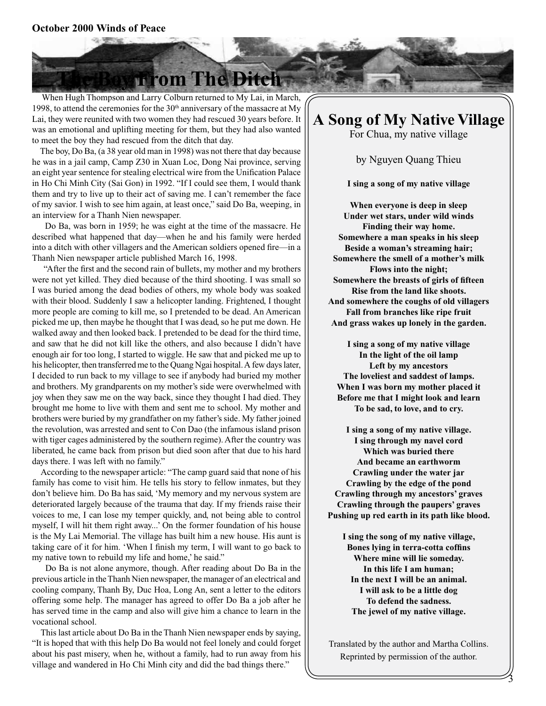#### **October 2000 Winds of Peace**

### **Trom The Ditch**

 When Hugh Thompson and Larry Colburn returned to My Lai, in March, 1998, to attend the ceremonies for the  $30<sup>th</sup>$  anniversary of the massacre at My Lai, they were reunited with two women they had rescued 30 years before. It was an emotional and uplifting meeting for them, but they had also wanted to meet the boy they had rescued from the ditch that day.

 The boy, Do Ba, (a 38 year old man in 1998) was not there that day because he was in a jail camp, Camp Z30 in Xuan Loc, Dong Nai province, serving an eight year sentence for stealing electrical wire from the Unification Palace in Ho Chi Minh City (Sai Gon) in 1992. "If I could see them, I would thank them and try to live up to their act of saving me. I can't remember the face of my savior. I wish to see him again, at least once," said Do Ba, weeping, in an interview for a Thanh Nien newspaper.

 Do Ba, was born in 1959; he was eight at the time of the massacre. He described what happened that day—when he and his family were herded into a ditch with other villagers and the American soldiers opened fire—in a Thanh Nien newspaper article published March 16, 1998.

 "After the first and the second rain of bullets, my mother and my brothers were not yet killed. They died because of the third shooting. I was small so I was buried among the dead bodies of others, my whole body was soaked with their blood. Suddenly I saw a helicopter landing. Frightened, I thought more people are coming to kill me, so I pretended to be dead. An American picked me up, then maybe he thought that I was dead, so he put me down. He walked away and then looked back. I pretended to be dead for the third time, and saw that he did not kill like the others, and also because I didn't have enough air for too long, I started to wiggle. He saw that and picked me up to his helicopter, then transferred me to the Quang Ngai hospital. A few days later, I decided to run back to my village to see if anybody had buried my mother and brothers. My grandparents on my mother's side were overwhelmed with joy when they saw me on the way back, since they thought I had died. They brought me home to live with them and sent me to school. My mother and brothers were buried by my grandfather on my father's side. My father joined the revolution, was arrested and sent to Con Dao (the infamous island prison with tiger cages administered by the southern regime). After the country was liberated, he came back from prison but died soon after that due to his hard days there. I was left with no family."

 According to the newspaper article: "The camp guard said that none of his family has come to visit him. He tells his story to fellow inmates, but they don't believe him. Do Ba has said, 'My memory and my nervous system are deteriorated largely because of the trauma that day. If my friends raise their voices to me, I can lose my temper quickly, and, not being able to control myself, I will hit them right away...' On the former foundation of his house is the My Lai Memorial. The village has built him a new house. His aunt is taking care of it for him. 'When I finish my term, I will want to go back to my native town to rebuild my life and home,' he said."

 Do Ba is not alone anymore, though. After reading about Do Ba in the previous article in the Thanh Nien newspaper, the manager of an electrical and cooling company, Thanh By, Duc Hoa, Long An, sent a letter to the editors offering some help. The manager has agreed to offer Do Ba a job after he has served time in the camp and also will give him a chance to learn in the vocational school.

 This last article about Do Ba in the Thanh Nien newspaper ends by saying, "It is hoped that with this help Do Ba would not feel lonely and could forget about his past misery, when he, without a family, had to run away from his village and wandered in Ho Chi Minh city and did the bad things there."

## **A Song of My Native Village**

For Chua, my native village

by Nguyen Quang Thieu

**I sing a song of my native village**

**When everyone is deep in sleep Under wet stars, under wild winds Finding their way home. Somewhere a man speaks in his sleep Beside a woman's streaming hair; Somewhere the smell of a mother's milk Flows into the night; Somewhere the breasts of girls of fifteen Rise from the land like shoots. And somewhere the coughs of old villagers Fall from branches like ripe fruit And grass wakes up lonely in the garden.**

**I sing a song of my native village In the light of the oil lamp Left by my ancestors The loveliest and saddest of lamps. When I was born my mother placed it Before me that I might look and learn To be sad, to love, and to cry.**

**I sing a song of my native village. I sing through my navel cord Which was buried there And became an earthworm Crawling under the water jar Crawling by the edge of the pond Crawling through my ancestors' graves Crawling through the paupers' graves Pushing up red earth in its path like blood.**

**I sing the song of my native village, Bones lying in terra-cotta coffins Where mine will lie someday. In this life I am human; In the next I will be an animal. I will ask to be a little dog To defend the sadness. The jewel of my native village.**

Translated by the author and Martha Collins. Reprinted by permission of the author.

3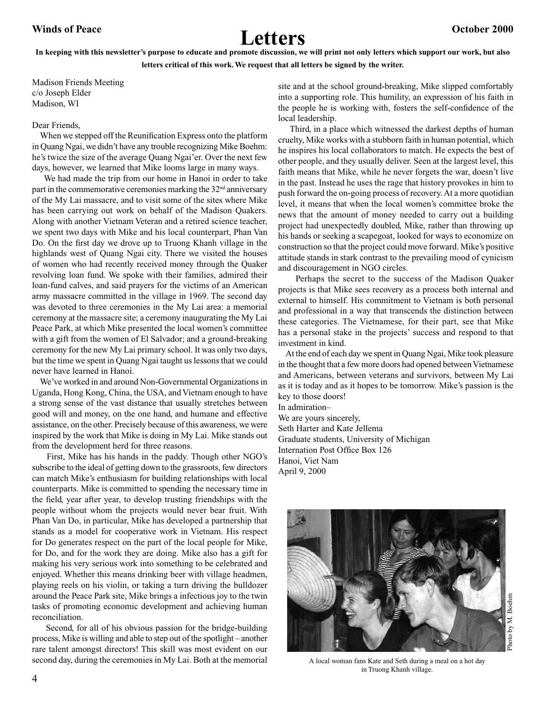# Winds of Peace **Canadian Control Control Control Control Control Control Control Control Control Control Control Control Control Control Control Control Control Control Control Control Control Control Control Control Contr**

#### **In keeping with this newsletter's purpose to educate and promote discussion, we will print not only letters which support our work, but also letters critical of this work. We request that all letters be signed by the writer.**

Madison Friends Meeting c/o Joseph Elder Madison, WI

#### Dear Friends,

 When we stepped off the Reunification Express onto the platform in Quang Ngai, we didn't have any trouble recognizing Mike Boehm: he's twice the size of the average Quang Ngai'er. Over the next few days, however, we learned that Mike looms large in many ways.

 We had made the trip from our home in Hanoi in order to take part in the commemorative ceremonies marking the  $32<sup>nd</sup>$  anniversary of the My Lai massacre, and to visit some of the sites where Mike has been carrying out work on behalf of the Madison Quakers. Along with another Vietnam Veteran and a retired science teacher, we spent two days with Mike and his local counterpart, Phan Van Do. On the first day we drove up to Truong Khanh village in the highlands west of Quang Ngai city. There we visited the houses of women who had recently received money through the Quaker revolving loan fund. We spoke with their families, admired their loan-fund calves, and said prayers for the victims of an American army massacre committed in the village in 1969. The second day was devoted to three ceremonies in the My Lai area: a memorial ceremony at the massacre site; a ceremony inaugurating the My Lai Peace Park, at which Mike presented the local women's committee with a gift from the women of El Salvador; and a ground-breaking ceremony for the new My Lai primary school. It was only two days, but the time we spent in Quang Ngai taught us lessons that we could never have learned in Hanoi.

 We've worked in and around Non‑Governmental Organizations in Uganda, Hong Kong, China, the USA, and Vietnam enough to have a strong sense of the vast distance that usually stretches between good will and money, on the one hand, and humane and effective assistance, on the other. Precisely because of this awareness, we were inspired by the work that Mike is doing in My Lai. Mike stands out from the development herd for three reasons.

 First, Mike has his hands in the paddy. Though other NGO's subscribe to the ideal of getting down to the grassroots, few directors can match Mike's enthusiasm for building relationships with local counterparts. Mike is committed to spending the necessary time in the field, year after year, to develop trusting friendships with the people without whom the projects would never bear fruit. With Phan Van Do, in particular, Mike has developed a partnership that stands as a model for cooperative work in Vietnam. His respect for Do generates respect on the part of the local people for Mike, for Do, and for the work they are doing. Mike also has a gift for making his very serious work into something to be celebrated and enjoyed. Whether this means drinking beer with village headmen, playing reels on his violin, or taking a turn driving the bulldozer around the Peace Park site, Mike brings a infectious joy to the twin tasks of promoting economic development and achieving human reconciliation.

Second, for all of his obvious passion for the bridge-building process, Mike is willing and able to step out of the spotlight – another rare talent amongst directors! This skill was most evident on our second day, during the ceremonies in My Lai. Both at the memorial

site and at the school ground-breaking, Mike slipped comfortably into a supporting role. This humility, an expression of his faith in the people he is working with, fosters the self‑confidence of the local leadership.

 Third, in a place which witnessed the darkest depths of human cruelty, Mike works with a stubborn faith in human potential, which he inspires his local collaborators to match. He expects the best of other people, and they usually deliver. Seen at the largest level, this faith means that Mike, while he never forgets the war, doesn't live in the past. Instead he uses the rage that history provokes in him to push forward the on‑going process of recovery. At a more quotidian level, it means that when the local women's committee broke the news that the amount of money needed to carry out a building project had unexpectedly doubled, Mike, rather than throwing up his hands or seeking a scapegoat, looked for ways to economize on construction so that the project could move forward. Mike's positive attitude stands in stark contrast to the prevailing mood of cynicism and discouragement in NGO circles.

 Perhaps the secret to the success of the Madison Quaker projects is that Mike sees recovery as a process both internal and external to himself. His commitment to Vietnam is both personal and professional in a way that transcends the distinction between these categories. The Vietnamese, for their part, see that Mike has a personal stake in the projects' success and respond to that investment in kind.

 At the end of each day we spent in Quang Ngai, Mike took pleasure in the thought that a few more doors had opened between Vietnamese and Americans, between veterans and survivors, between My Lai as it is today and as it hopes to be tomorrow. Mike's passion is the key to those doors!

In admiration– We are yours sincerely, Seth Harter and Kate Jellema Graduate students, University of Michigan Internation Post Office Box 126 Hanoi, Viet Nam April 9, 2000



A local woman fans Kate and Seth during a meal on a hot day in Truong Khanh village.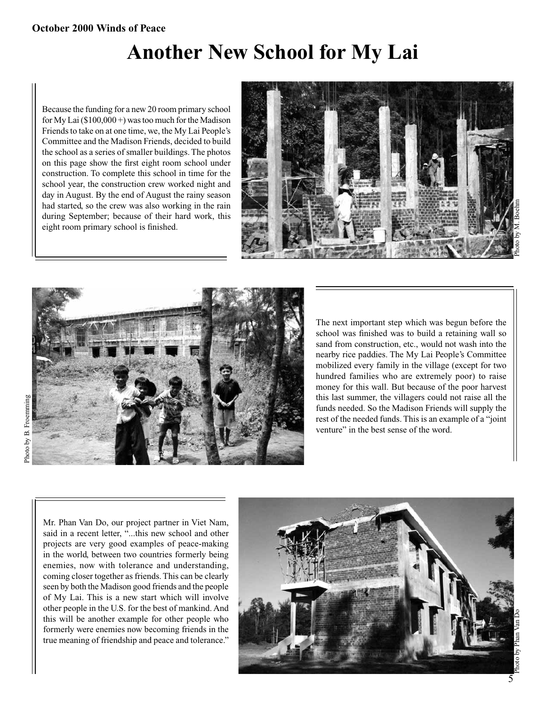### **Another New School for My Lai**

Because the funding for a new 20 room primary school for My Lai  $(\$100,000+)$  was too much for the Madison Friends to take on at one time, we, the My Lai People's Committee and the Madison Friends, decided to build the school as a series of smaller buildings. The photos on this page show the first eight room school under construction. To complete this school in time for the school year, the construction crew worked night and day in August. By the end of August the rainy season had started, so the crew was also working in the rain during September; because of their hard work, this eight room primary school is finished.





The next important step which was begun before the school was finished was to build a retaining wall so sand from construction, etc., would not wash into the nearby rice paddies. The My Lai People's Committee mobilized every family in the village (except for two hundred families who are extremely poor) to raise money for this wall. But because of the poor harvest this last summer, the villagers could not raise all the funds needed. So the Madison Friends will supply the rest of the needed funds. This is an example of a "joint venture" in the best sense of the word.

Mr. Phan Van Do, our project partner in Viet Nam, said in a recent letter, "...this new school and other projects are very good examples of peace-making in the world, between two countries formerly being enemies, now with tolerance and understanding, coming closer together as friends. This can be clearly seen by both the Madison good friends and the people of My Lai. This is a new start which will involve other people in the U.S. for the best of mankind. And this will be another example for other people who formerly were enemies now becoming friends in the true meaning of friendship and peace and tolerance."

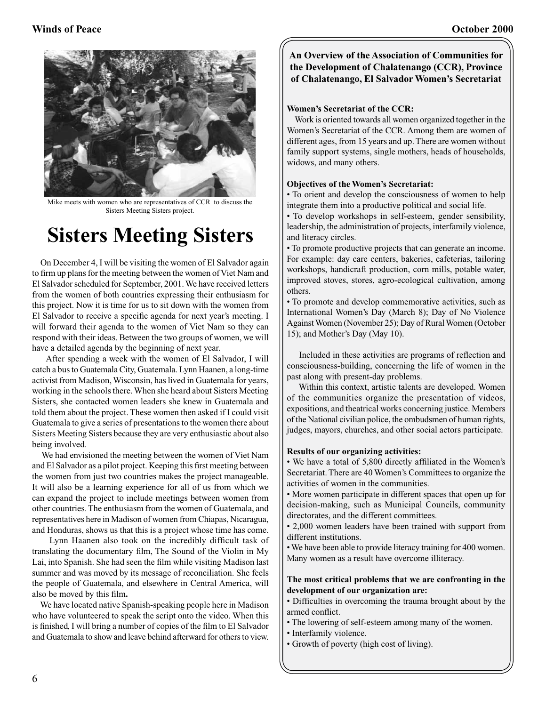

Mike meets with women who are representatives of CCR to discuss the Sisters Meeting Sisters project.

# **Sisters Meeting Sisters**

 On December 4, I will be visiting the women of El Salvador again to firm up plans for the meeting between the women of Viet Nam and El Salvador scheduled for September, 2001. We have received letters from the women of both countries expressing their enthusiasm for this project. Now it is time for us to sit down with the women from El Salvador to receive a specific agenda for next year's meeting. I will forward their agenda to the women of Viet Nam so they can respond with their ideas. Between the two groups of women, we will have a detailed agenda by the beginning of next year.

 After spending a week with the women of El Salvador, I will catch a bus to Guatemala City, Guatemala. Lynn Haanen, a long-time activist from Madison, Wisconsin, has lived in Guatemala for years, working in the schools there. When she heard about Sisters Meeting Sisters, she contacted women leaders she knew in Guatemala and told them about the project. These women then asked if I could visit Guatemala to give a series of presentations to the women there about Sisters Meeting Sisters because they are very enthusiastic about also being involved.

 We had envisioned the meeting between the women of Viet Nam and El Salvador as a pilot project. Keeping this first meeting between the women from just two countries makes the project manageable. It will also be a learning experience for all of us from which we can expand the project to include meetings between women from other countries. The enthusiasm from the women of Guatemala, and representatives here in Madison of women from Chiapas, Nicaragua, and Honduras, shows us that this is a project whose time has come.

 Lynn Haanen also took on the incredibly difficult task of translating the documentary film, The Sound of the Violin in My Lai, into Spanish. She had seen the film while visiting Madison last summer and was moved by its message of reconciliation. She feels the people of Guatemala, and elsewhere in Central America, will also be moved by this film**.**

We have located native Spanish-speaking people here in Madison who have volunteered to speak the script onto the video. When this is finished, I will bring a number of copies of the film to El Salvador and Guatemala to show and leave behind afterward for others to view.

#### **An Overview of the Association of Communities for the Development of Chalatenango (CCR), Province of Chalatenango, El Salvador Women's Secretariat**

#### **Women's Secretariat of the CCR:**

 Work is oriented towards all women organized together in the Women's Secretariat of the CCR. Among them are women of different ages, from 15 years and up. There are women without family support systems, single mothers, heads of households, widows, and many others.

#### **Objectives of the Women's Secretariat:**

• To orient and develop the consciousness of women to help integrate them into a productive political and social life.

• To develop workshops in self-esteem, gender sensibility, leadership, the administration of projects, interfamily violence, and literacy circles.

• To promote productive projects that can generate an income. For example: day care centers, bakeries, cafeterias, tailoring workshops, handicraft production, corn mills, potable water, improved stoves, stores, agro-ecological cultivation, among others.

• To promote and develop commemorative activities, such as International Women's Day (March 8); Day of No Violence Against Women (November 25); Day of Rural Women (October 15); and Mother's Day (May 10).

 Included in these activities are programs of reflection and consciousness-building, concerning the life of women in the past along with present-day problems.

 Within this context, artistic talents are developed. Women of the communities organize the presentation of videos, expositions, and theatrical works concerning justice. Members of the National civilian police, the ombudsmen of human rights, judges, mayors, churches, and other social actors participate.

#### **Results of our organizing activities:**

• We have a total of 5,800 directly affiliated in the Women's Secretariat. There are 40 Women's Committees to organize the activities of women in the communities.

• More women participate in different spaces that open up for decision-making, such as Municipal Councils, community directorates, and the different committees.

• 2,000 women leaders have been trained with support from different institutions.

• We have been able to provide literacy training for 400 women. Many women as a result have overcome illiteracy.

#### **The most critical problems that we are confronting in the development of our organization are:**

• Difficulties in overcoming the trauma brought about by the armed conflict.

- The lowering of self-esteem among many of the women.
- Interfamily violence.
- Growth of poverty (high cost of living).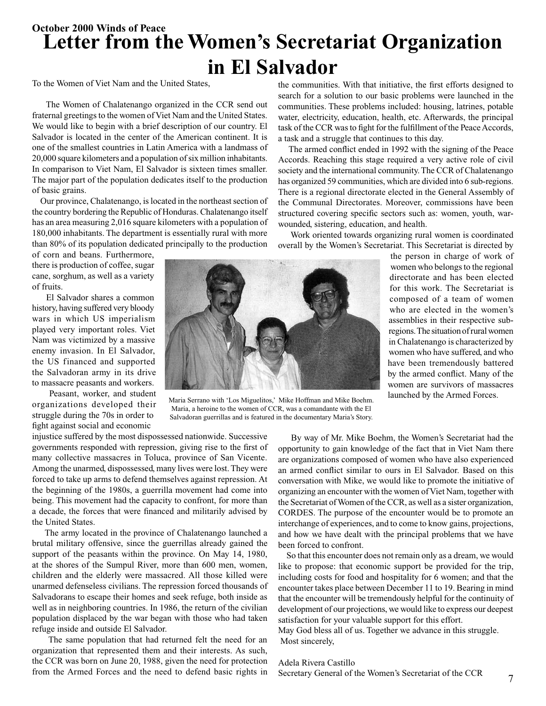### **October 2000 Winds of Peace Letter from the Women's Secretariat Organization in El Salvador**

To the Women of Viet Nam and the United States,

 The Women of Chalatenango organized in the CCR send out fraternal greetings to the women of Viet Nam and the United States. We would like to begin with a brief description of our country. El Salvador is located in the center of the American continent. It is one of the smallest countries in Latin America with a landmass of 20,000 square kilometers and a population of six million inhabitants. In comparison to Viet Nam, El Salvador is sixteen times smaller. The major part of the population dedicates itself to the production of basic grains.

 Our province, Chalatenango, is located in the northeast section of the country bordering the Republic of Honduras. Chalatenango itself has an area measuring 2,016 square kilometers with a population of 180,000 inhabitants. The department is essentially rural with more than 80% of its population dedicated principally to the production

of corn and beans. Furthermore, there is production of coffee, sugar cane, sorghum, as well as a variety of fruits.

 El Salvador shares a common history, having suffered very bloody wars in which US imperialism played very important roles. Viet Nam was victimized by a massive enemy invasion. In El Salvador, the US financed and supported the Salvadoran army in its drive to massacre peasants and workers.

 Peasant, worker, and student organizations developed their struggle during the 70s in order to fight against social and economic



Maria Serrano with 'Los Miguelitos,' Mike Hoffman and Mike Boehm. Maria, a heroine to the women of CCR, was a comandante with the El Salvadoran guerrillas and is featured in the documentary Maria's Story.

injustice suffered by the most dispossessed nationwide. Successive governments responded with repression, giving rise to the first of many collective massacres in Toluca, province of San Vicente. Among the unarmed, dispossessed, many lives were lost. They were forced to take up arms to defend themselves against repression. At the beginning of the 1980s, a guerrilla movement had come into being. This movement had the capacity to confront, for more than a decade, the forces that were financed and militarily advised by the United States.

 The army located in the province of Chalatenango launched a brutal military offensive, since the guerrillas already gained the support of the peasants within the province. On May 14, 1980, at the shores of the Sumpul River, more than 600 men, women, children and the elderly were massacred. All those killed were unarmed defenseless civilians. The repression forced thousands of Salvadorans to escape their homes and seek refuge, both inside as well as in neighboring countries. In 1986, the return of the civilian population displaced by the war began with those who had taken refuge inside and outside El Salvador.

 The same population that had returned felt the need for an organization that represented them and their interests. As such, the CCR was born on June 20, 1988, given the need for protection from the Armed Forces and the need to defend basic rights in

the communities. With that initiative, the first efforts designed to search for a solution to our basic problems were launched in the communities. These problems included: housing, latrines, potable water, electricity, education, health, etc. Afterwards, the principal task of the CCR was to fight for the fulfillment of the Peace Accords, a task and a struggle that continues to this day.

 The armed conflict ended in 1992 with the signing of the Peace Accords. Reaching this stage required a very active role of civil society and the international community. The CCR of Chalatenango has organized 59 communities, which are divided into 6 sub-regions. There is a regional directorate elected in the General Assembly of the Communal Directorates. Moreover, commissions have been structured covering specific sectors such as: women, youth, warwounded, sistering, education, and health.

 Work oriented towards organizing rural women is coordinated overall by the Women's Secretariat. This Secretariat is directed by

> the person in charge of work of women who belongs to the regional directorate and has been elected for this work. The Secretariat is composed of a team of women who are elected in the women's assemblies in their respective subregions. The situation of rural women in Chalatenango is characterized by women who have suffered, and who have been tremendously battered by the armed conflict. Many of the women are survivors of massacres launched by the Armed Forces.

 By way of Mr. Mike Boehm, the Women's Secretariat had the opportunity to gain knowledge of the fact that in Viet Nam there are organizations composed of women who have also experienced an armed conflict similar to ours in El Salvador. Based on this conversation with Mike, we would like to promote the initiative of organizing an encounter with the women of Viet Nam, together with the Secretariat of Women of the CCR, as well as a sister organization, CORDES. The purpose of the encounter would be to promote an interchange of experiences, and to come to know gains, projections, and how we have dealt with the principal problems that we have been forced to confront.

 So that this encounter does not remain only as a dream, we would like to propose: that economic support be provided for the trip, including costs for food and hospitality for 6 women; and that the encounter takes place between December 11 to 19. Bearing in mind that the encounter will be tremendously helpful for the continuity of development of our projections, we would like to express our deepest satisfaction for your valuable support for this effort.

May God bless all of us. Together we advance in this struggle. Most sincerely,

#### Adela Rivera Castillo

Secretary General of the Women's Secretariat of the CCR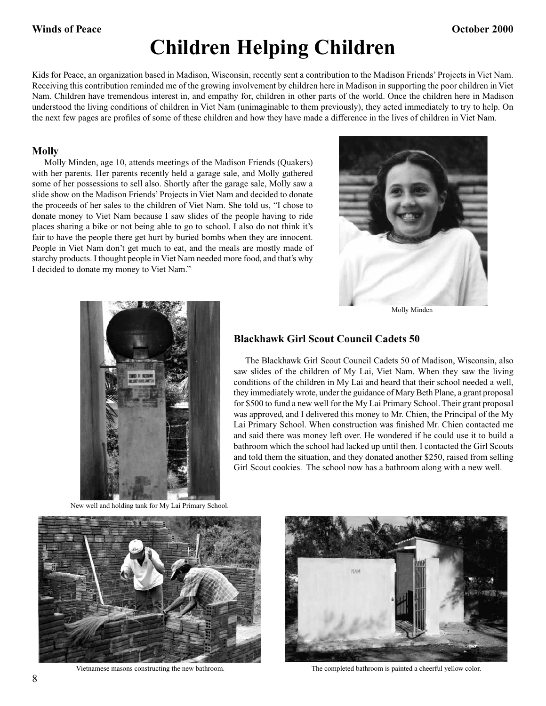# **Children Helping Children**

Kids for Peace, an organization based in Madison, Wisconsin, recently sent a contribution to the Madison Friends' Projects in Viet Nam. Receiving this contribution reminded me of the growing involvement by children here in Madison in supporting the poor children in Viet Nam. Children have tremendous interest in, and empathy for, children in other parts of the world. Once the children here in Madison understood the living conditions of children in Viet Nam (unimaginable to them previously), they acted immediately to try to help. On the next few pages are profiles of some of these children and how they have made a difference in the lives of children in Viet Nam.

#### **Molly**

 Molly Minden, age 10, attends meetings of the Madison Friends (Quakers) with her parents. Her parents recently held a garage sale, and Molly gathered some of her possessions to sell also. Shortly after the garage sale, Molly saw a slide show on the Madison Friends' Projects in Viet Nam and decided to donate the proceeds of her sales to the children of Viet Nam. She told us, "I chose to donate money to Viet Nam because I saw slides of the people having to ride places sharing a bike or not being able to go to school. I also do not think it's fair to have the people there get hurt by buried bombs when they are innocent. People in Viet Nam don't get much to eat, and the meals are mostly made of starchy products. I thought people in Viet Nam needed more food, and that's why I decided to donate my money to Viet Nam."



Molly Minden



New well and holding tank for My Lai Primary School.

#### **Blackhawk Girl Scout Council Cadets 50**

 The Blackhawk Girl Scout Council Cadets 50 of Madison, Wisconsin, also saw slides of the children of My Lai, Viet Nam. When they saw the living conditions of the children in My Lai and heard that their school needed a well, they immediately wrote, under the guidance of Mary Beth Plane, a grant proposal for \$500 to fund a new well for the My Lai Primary School. Their grant proposal was approved, and I delivered this money to Mr. Chien, the Principal of the My Lai Primary School. When construction was finished Mr. Chien contacted me and said there was money left over. He wondered if he could use it to build a bathroom which the school had lacked up until then. I contacted the Girl Scouts and told them the situation, and they donated another \$250, raised from selling Girl Scout cookies. The school now has a bathroom along with a new well.





Vietnamese masons constructing the new bathroom. The completed bathroom is painted a cheerful yellow color.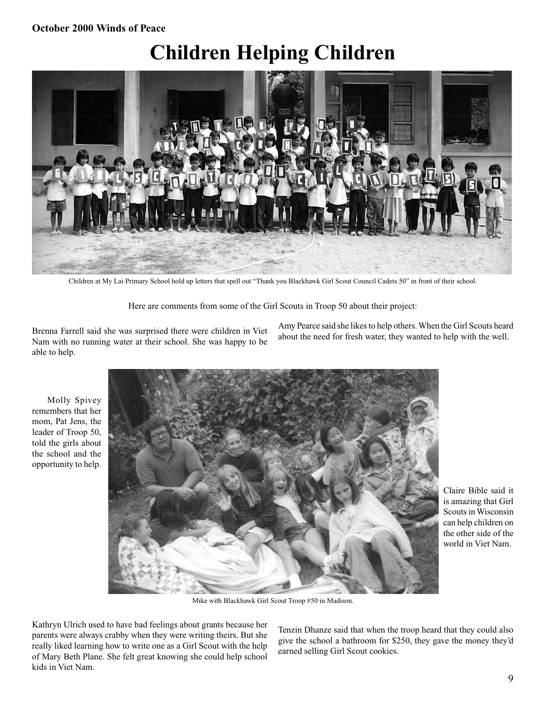#### **October 2000 Winds of Peace**

# **Children Helping Children**



Children at My Lai Primary School hold up letters that spell out "Thank you Blackhawk Girl Scout Council Cadets 50" in front of their school.

Here are comments from some of the Girl Scouts in Troop 50 about their project:

Brenna Farrell said she was surprised there were children in Viet Nam with no running water at their school. She was happy to be able to help.

Amy Pearce said she likes to help others. When the Girl Scouts heard about the need for fresh water, they wanted to help with the well.

 Molly Spivey remembers that her mom, Pat Jens, the leader of Troop 50, told the girls about the school and the opportunity to help.



Claire Bible said it is amazing that Girl Scouts in Wisconsin can help children on the other side of the world in Viet Nam.

Mike with Blackhawk Girl Scout Troop #50 in Madison.

Kathryn Ulrich used to have bad feelings about grants because her parents were always crabby when they were writing theirs. But she really liked learning how to write one as a Girl Scout with the help of Mary Beth Plane. She felt great knowing she could help school kids in Viet Nam.

Tenzin Dhanze said that when the troop heard that they could also give the school a bathroom for \$250, they gave the money they'd earned selling Girl Scout cookies.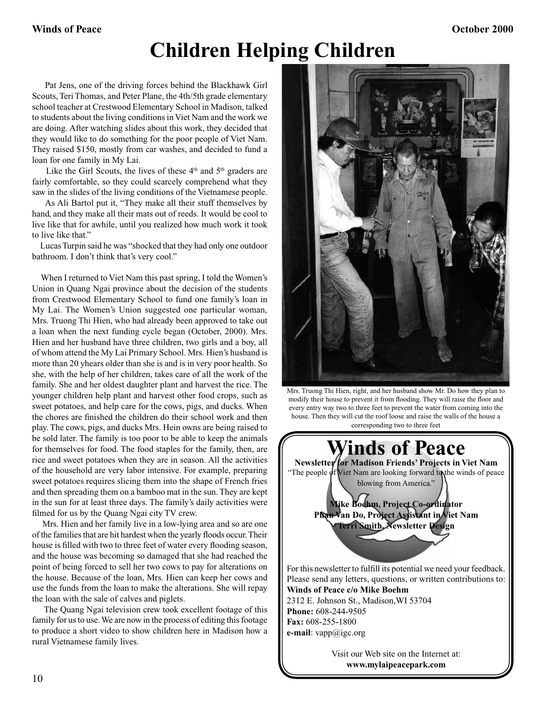## **Children Helping Children**

 Pat Jens, one of the driving forces behind the Blackhawk Girl Scouts, Teri Thomas, and Peter Plane, the 4th/5th grade elementary school teacher at Crestwood Elementary School in Madison, talked to students about the living conditions in Viet Nam and the work we are doing. After watching slides about this work, they decided that they would like to do something for the poor people of Viet Nam. They raised \$150, mostly from car washes, and decided to fund a loan for one family in My Lai.

Like the Girl Scouts, the lives of these  $4<sup>th</sup>$  and  $5<sup>th</sup>$  graders are fairly comfortable, so they could scarcely comprehend what they saw in the slides of the living conditions of the Vietnamese people.

 As Ali Bartol put it, "They make all their stuff themselves by hand, and they make all their mats out of reeds. It would be cool to live like that for awhile, until you realized how much work it took to live like that."

 Lucas Turpin said he was "shocked that they had only one outdoor bathroom. I don't think that's very cool."

 When I returned to Viet Nam this past spring, I told the Women's Union in Quang Ngai province about the decision of the students from Crestwood Elementary School to fund one family's loan in My Lai. The Women's Union suggested one particular woman, Mrs. Truong Thi Hien, who had already been approved to take out a loan when the next funding cycle began (October, 2000). Mrs. Hien and her husband have three children, two girls and a boy, all of whom attend the My Lai Primary School. Mrs. Hien's husband is more than 20 yhears older than she is and is in very poor health. So she, with the help of her children, takes care of all the work of the family. She and her oldest daughter plant and harvest the rice. The younger children help plant and harvest other food crops, such as sweet potatoes, and help care for the cows, pigs, and ducks. When the chores are finished the children do their school work and then play. The cows, pigs, and ducks Mrs. Hein owns are being raised to be sold later. The family is too poor to be able to keep the animals for themselves for food. The food staples for the family, then, are rice and sweet potatoes when they are in season. All the activities of the household are very labor intensive. For example, preparing sweet potatoes requires slicing them into the shape of French fries and then spreading them on a bamboo mat in the sun. They are kept in the sun for at least three days. The family's daily activities were filmed for us by the Quang Ngai city TV crew.

 Mrs. Hien and her family live in a low‑lying area and so are one of the families that are hit hardest when the yearly floods occur. Their house is filled with two to three feet of water every flooding season, and the house was becoming so damaged that she had reached the point of being forced to sell her two cows to pay for alterations on the house. Because of the loan, Mrs. Hien can keep her cows and use the funds from the loan to make the alterations. She will repay the loan with the sale of calves and piglets.

 The Quang Ngai television crew took excellent footage of this family for us to use. We are now in the process of editing this footage to produce a short video to show children here in Madison how a rural Vietnamese family lives.



Mrs. Truong Thi Hien, right, and her husband show Mr. Do how they plan to modify their house to prevent it from flooding. They will raise the floor and every entry way two to three feet to prevent the water from coming into the house. Then they will cut the roof loose and raise the walls of the house a corresponding two to three feet



Visit our Web site on the Internet at: **www.mylaipeacepark.com**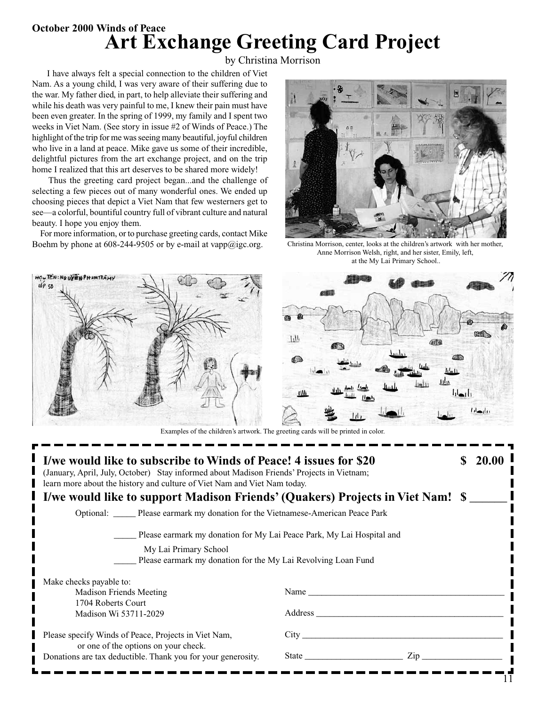### **October 2000 Winds of Peace Art Exchange Greeting Card Project**

by Christina Morrison

 I have always felt a special connection to the children of Viet Nam. As a young child, I was very aware of their suffering due to the war. My father died, in part, to help alleviate their suffering and while his death was very painful to me, I knew their pain must have been even greater. In the spring of 1999, my family and I spent two weeks in Viet Nam. (See story in issue #2 of Winds of Peace.) The highlight of the trip for me was seeing many beautiful, joyful children who live in a land at peace. Mike gave us some of their incredible, delightful pictures from the art exchange project, and on the trip home I realized that this art deserves to be shared more widely!

 Thus the greeting card project began...and the challenge of selecting a few pieces out of many wonderful ones. We ended up choosing pieces that depict a Viet Nam that few westerners get to see—a colorful, bountiful country full of vibrant culture and natural beauty. I hope you enjoy them.

 For more information, or to purchase greeting cards, contact Mike Boehm by phone at 608-244-9505 or by e-mail at vapp@igc.org.



Christina Morrison, center, looks at the children's artwork with her mother, Anne Morrison Welsh, right, and her sister, Emily, left, at the My Lai Primary School..





Examples of the children's artwork. The greeting cards will be printed in color.

| I/we would like to subscribe to Winds of Peace! 4 issues for \$20<br>(January, April, July, October) Stay informed about Madison Friends' Projects in Vietnam;<br>learn more about the history and culture of Viet Nam and Viet Nam today. |                                                                                                                                                                                                                                                 |  | 20.00 |
|--------------------------------------------------------------------------------------------------------------------------------------------------------------------------------------------------------------------------------------------|-------------------------------------------------------------------------------------------------------------------------------------------------------------------------------------------------------------------------------------------------|--|-------|
| I/we would like to support Madison Friends' (Quakers) Projects in Viet Nam! \$                                                                                                                                                             |                                                                                                                                                                                                                                                 |  |       |
| Optional: Please earmark my donation for the Vietnamese-American Peace Park                                                                                                                                                                |                                                                                                                                                                                                                                                 |  |       |
| Please earmark my donation for My Lai Peace Park, My Lai Hospital and                                                                                                                                                                      |                                                                                                                                                                                                                                                 |  |       |
| My Lai Primary School<br>Please earmark my donation for the My Lai Revolving Loan Fund                                                                                                                                                     |                                                                                                                                                                                                                                                 |  |       |
| Make checks payable to:                                                                                                                                                                                                                    |                                                                                                                                                                                                                                                 |  |       |
| <b>Madison Friends Meeting</b>                                                                                                                                                                                                             |                                                                                                                                                                                                                                                 |  |       |
| 1704 Roberts Court                                                                                                                                                                                                                         |                                                                                                                                                                                                                                                 |  |       |
| Madison Wi 53711-2029                                                                                                                                                                                                                      |                                                                                                                                                                                                                                                 |  |       |
| Please specify Winds of Peace, Projects in Viet Nam,<br>or one of the options on your check.                                                                                                                                               | City the contract of the contract of the contract of the contract of the contract of the contract of the contract of the contract of the contract of the contract of the contract of the contract of the contract of the contr                  |  |       |
| Donations are tax deductible. Thank you for your generosity.                                                                                                                                                                               | State and the state of the state of the state of the state of the state of the state of the state of the state of the state of the state of the state of the state of the state of the state of the state of the state of the<br>$\mathsf{Zip}$ |  |       |
|                                                                                                                                                                                                                                            |                                                                                                                                                                                                                                                 |  |       |